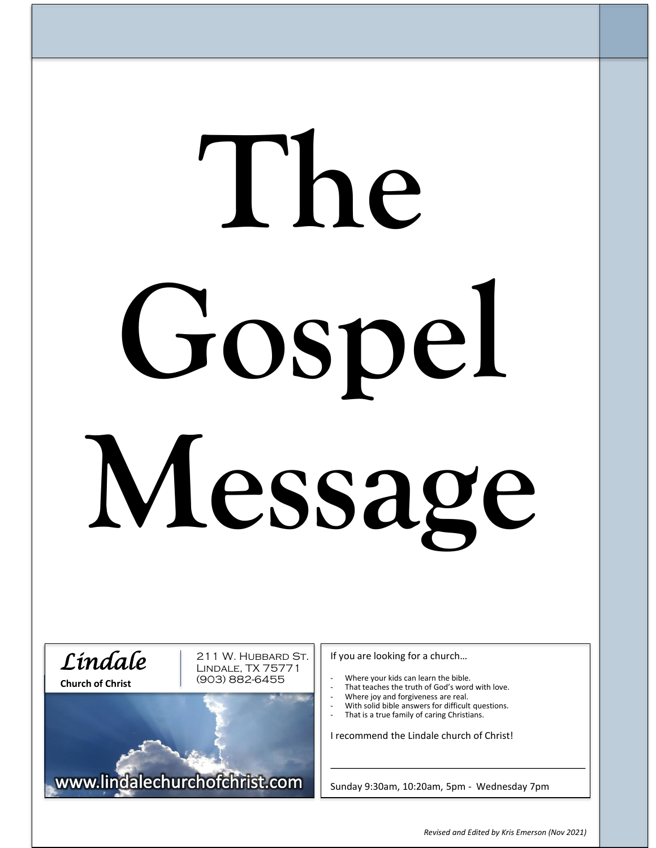# **The Gospel Message**



211 W. Hubbard St. Lindale, TX 75771 (903) 882-6455

www.lindalechurchofchrist.com

If you are looking for a church…

- Where your kids can learn the bible.
- That teaches the truth of God's word with love.
- Where joy and forgiveness are real.
- With solid bible answers for difficult questions. That is a true family of caring Christians.
- 

I recommend the Lindale church of Christ!

Sunday 9:30am, 10:20am, 5pm - Wednesday 7pm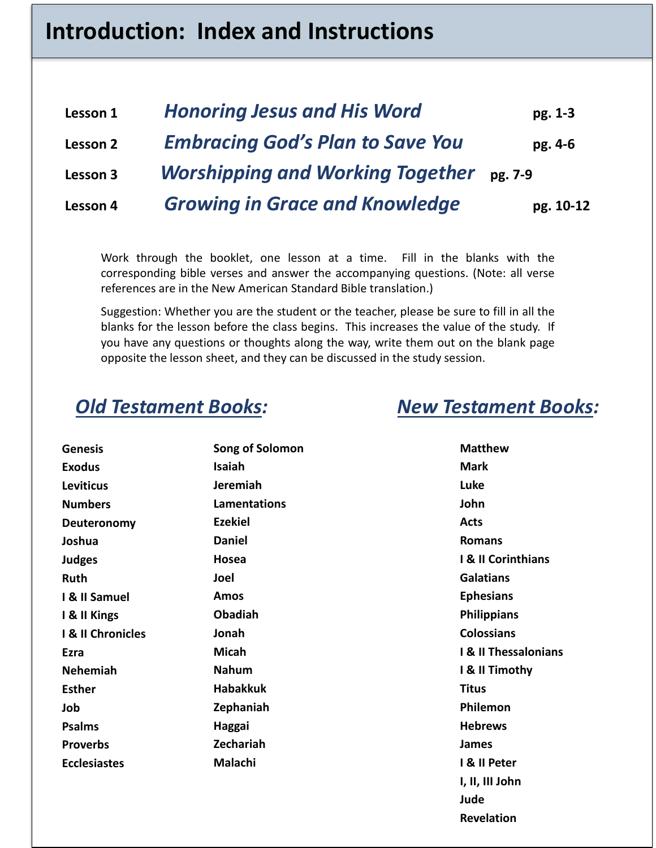# **Introduction: Index and Instructions**

| Lesson 1 | <b>Honoring Jesus and His Word</b>       | pg. 1-3   |
|----------|------------------------------------------|-----------|
| Lesson 2 | <b>Embracing God's Plan to Save You</b>  | pg. 4-6   |
| Lesson 3 | Worshipping and Working Together pg. 7-9 |           |
| Lesson 4 | <b>Growing in Grace and Knowledge</b>    | pg. 10-12 |

Work through the booklet, one lesson at a time. Fill in the blanks with the corresponding bible verses and answer the accompanying questions. (Note: all verse references are in the New American Standard Bible translation.)

Suggestion: Whether you are the student or the teacher, please be sure to fill in all the blanks for the lesson before the class begins. This increases the value of the study. If you have any questions or thoughts along the way, write them out on the blank page opposite the lesson sheet, and they can be discussed in the study session.

# *Old Testament Books: New Testament Books:*

**Revelation**

| <b>Genesis</b>      | Song of Solomon     | <b>Matthew</b>                  |
|---------------------|---------------------|---------------------------------|
| <b>Exodus</b>       | Isaiah              | <b>Mark</b>                     |
| <b>Leviticus</b>    | Jeremiah            | Luke                            |
| <b>Numbers</b>      | <b>Lamentations</b> | John                            |
| Deuteronomy         | <b>Ezekiel</b>      | <b>Acts</b>                     |
| Joshua              | <b>Daniel</b>       | <b>Romans</b>                   |
| <b>Judges</b>       | Hosea               | I & II Corinthians              |
| <b>Ruth</b>         | Joel                | <b>Galatians</b>                |
| I & II Samuel       | Amos                | <b>Ephesians</b>                |
| I & II Kings        | <b>Obadiah</b>      | <b>Philippians</b>              |
| I & II Chronicles   | Jonah               | <b>Colossians</b>               |
| Ezra                | <b>Micah</b>        | <b>I &amp; II Thessalonians</b> |
| Nehemiah            | <b>Nahum</b>        | I & II Timothy                  |
| <b>Esther</b>       | <b>Habakkuk</b>     | <b>Titus</b>                    |
| Job                 | Zephaniah           | Philemon                        |
| <b>Psalms</b>       | Haggai              | <b>Hebrews</b>                  |
| <b>Proverbs</b>     | Zechariah           | <b>James</b>                    |
| <b>Ecclesiastes</b> | Malachi             | I & II Peter                    |
|                     |                     | I, II, III John                 |
|                     |                     | Jude                            |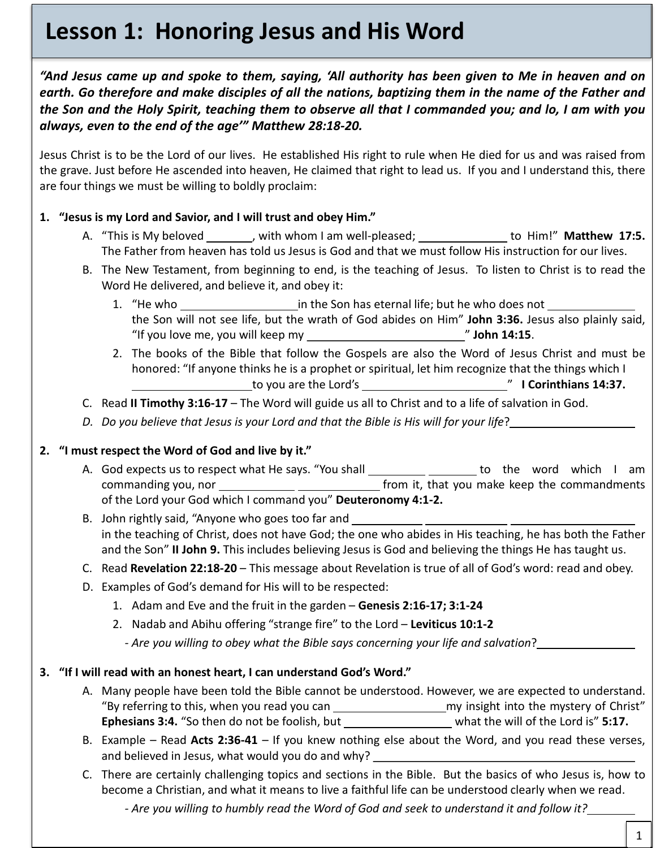# **Lesson 1: Honoring Jesus and His Word**

"And Jesus came up and spoke to them, saying, 'All authority has been given to Me in heaven and on earth. Go therefore and make disciples of all the nations, baptizing them in the name of the Father and the Son and the Holy Spirit, teaching them to observe all that I commanded you; and lo, I am with you *always, even to the end of the age'" Matthew 28:18-20.*

Jesus Christ is to be the Lord of our lives. He established His right to rule when He died for us and was raised from the grave. Just before He ascended into heaven, He claimed that right to lead us. If you and I understand this, there are four things we must be willing to boldly proclaim:

# **1. "Jesus is my Lord and Savior, and I will trust and obey Him."**

- A. "This is My beloved , with whom I am well-pleased; to Him!" **Matthew 17:5.** The Father from heaven has told us Jesus is God and that we must follow His instruction for our lives.
- B. The New Testament, from beginning to end, is the teaching of Jesus. To listen to Christ is to read the Word He delivered, and believe it, and obey it:
	- 1. "He who in the Son has eternal life; but he who does not the Son will not see life, but the wrath of God abides on Him" **John 3:36.** Jesus also plainly said, "If you love me, you will keep my " **John 14:15**.
	- 2. The books of the Bible that follow the Gospels are also the Word of Jesus Christ and must be honored: "If anyone thinks he is a prophet or spiritual, let him recognize that the things which I to you are the Lord's " **I Corinthians 14:37.**
- C. Read **II Timothy 3:16-17** The Word will guide us all to Christ and to a life of salvation in God.
- P *D. Do you believe that Jesus is your Lord and that the Bible is His will for your life*?

# **2. "I must respect the Word of God and live by it."**

- A. God expects us to respect what He says. "You shall \_\_\_\_\_\_\_\_\_\_\_\_\_\_\_\_\_\_\_\_ to the word which I am commanding you, nor **from** it, that you make keep the commandments of the Lord your God which I command you" **Deuteronomy 4:1-2.**
- B. John rightly said, "Anyone who goes too far and in the teaching of Christ, does not have God; the one who abides in His teaching, he has both the Father and the Son" **II John 9.** This includes believing Jesus is God and believing the things He has taught us.
- C. Read **Revelation 22:18-20** This message about Revelation is true of all of God's word: read and obey.
- D. Examples of God's demand for His will to be respected:
	- 1. Adam and Eve and the fruit in the garden **Genesis 2:16-17; 3:1-24**
	- 2. Nadab and Abihu offering "strange fire" to the Lord **Leviticus 10:1-2**
		- *- Are you willing to obey what the Bible says concerning your life and salvation*?

# **3. "If I will read with an honest heart, I can understand God's Word."**

- A. Many people have been told the Bible cannot be understood. However, we are expected to understand. "By referring to this, when you read you can \_\_\_\_\_\_\_\_\_\_\_\_\_\_\_\_\_\_\_\_\_\_\_\_\_ my insight into the mystery of Christ" **Ephesians 3:4.** "So then do not be foolish, but when the will of the Lord is" 5:17.
- B. Example Read **Acts 2:36-41** If you knew nothing else about the Word, and you read these verses, and believed in Jesus, what would you do and why?
- C. There are certainly challenging topics and sections in the Bible. But the basics of who Jesus is, how to become a Christian, and what it means to live a faithful life can be understood clearly when we read.

*- Are you willing to humbly read the Word of God and seek to understand it and follow it?*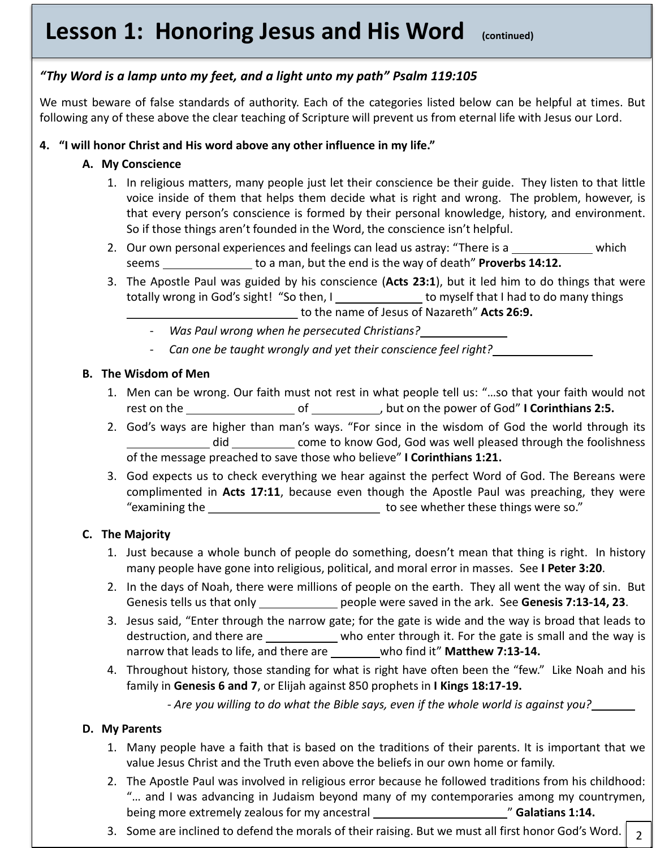# **Lesson 1: Honoring Jesus and His Word (continued)**

# *"Thy Word is a lamp unto my feet, and a light unto my path" Psalm 119:105*

We must beware of false standards of authority. Each of the categories listed below can be helpful at times. But following any of these above the clear teaching of Scripture will prevent us from eternal life with Jesus our Lord.

# **4. "I will honor Christ and His word above any other influence in my life."**

# **A. My Conscience**

- 1. In religious matters, many people just let their conscience be their guide. They listen to that little voice inside of them that helps them decide what is right and wrong. The problem, however, is that every person's conscience is formed by their personal knowledge, history, and environment. So if those things aren't founded in the Word, the conscience isn't helpful.
- 2. Our own personal experiences and feelings can lead us astray: "There is a which seems to a man, but the end is the way of death" **Proverbs 14:12.**
- 3. The Apostle Paul was guided by his conscience (**Acts 23:1**), but it led him to do things that were totally wrong in God's sight! "So then, I set that I had to do many things to the name of Jesus of Nazareth" **Acts 26:9.**
	- *Was Paul wrong when he persecuted Christians?*
	- *Can one be taught wrongly and yet their conscience feel right?*

# **B. The Wisdom of Men**

- 1. Men can be wrong. Our faith must not rest in what people tell us: "…so that your faith would not rest on the  $\_\_\_\_\_\_\_\_\_$  of  $\_\_\_\_\_\_\_\_\_\_\_\_\_$  but on the power of God" **I Corinthians 2:5.**
- 2. God's ways are higher than man's ways. "For since in the wisdom of God the world through its did come to know God, God was well pleased through the foolishness of the message preached to save those who believe" **I Corinthians 1:21.**
- 3. God expects us to check everything we hear against the perfect Word of God. The Bereans were complimented in **Acts 17:11**, because even though the Apostle Paul was preaching, they were "examining the to see whether these things were so."

# **C. The Majority**

- 1. Just because a whole bunch of people do something, doesn't mean that thing is right. In history many people have gone into religious, political, and moral error in masses. See **I Peter 3:20**.
- 2. In the days of Noah, there were millions of people on the earth. They all went the way of sin. But Genesis tells us that only people were saved in the ark. See **Genesis 7:13-14, 23**.
- 3. Jesus said, "Enter through the narrow gate; for the gate is wide and the way is broad that leads to destruction, and there are \_\_\_\_\_\_\_\_\_\_\_\_ who enter through it. For the gate is small and the way is narrow that leads to life, and there are \_\_\_\_\_\_\_who find it" Matthew 7:13-14.
- 4. Throughout history, those standing for what is right have often been the "few." Like Noah and his family in **Genesis 6 and 7**, or Elijah against 850 prophets in **I Kings 18:17-19.**

*- Are you willing to do what the Bible says, even if the whole world is against you?*

# **D. My Parents**

- 1. Many people have a faith that is based on the traditions of their parents. It is important that we value Jesus Christ and the Truth even above the beliefs in our own home or family.
- 2. The Apostle Paul was involved in religious error because he followed traditions from his childhood: "… and I was advancing in Judaism beyond many of my contemporaries among my countrymen, being more extremely zealous for my ancestral **Fig. 1.14.** (Salatians 1:14.
- 2 3. Some are inclined to defend the morals of their raising. But we must all first honor God's Word.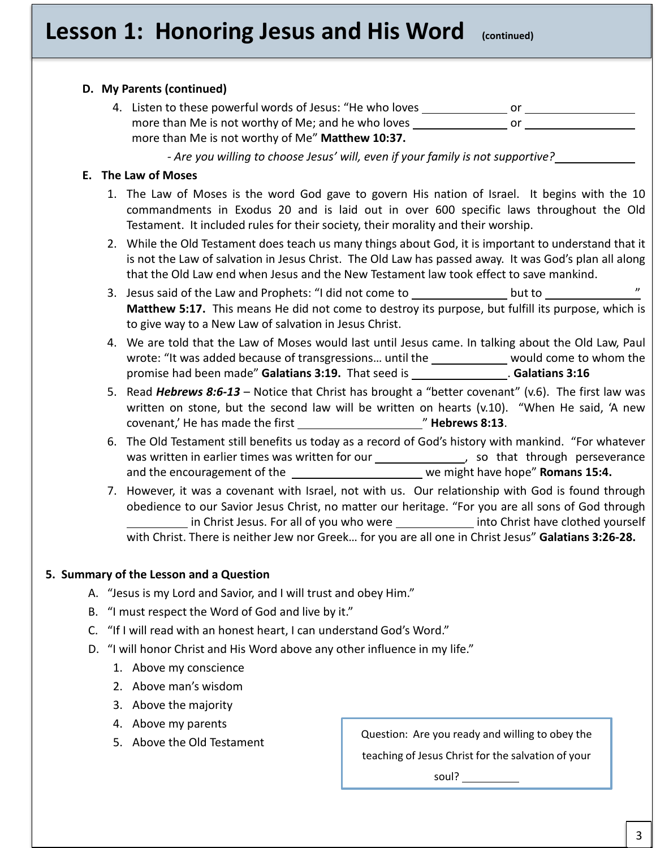# **Lesson 1: Honoring Jesus and His Word (continued)**

# **D. My Parents (continued)** 4. Listen to these powerful words of Jesus: "He who loves or or or or or or or or or or or  $\sim$ more than Me is not worthy of Me; and he who loves  $\sqrt{a}$  or  $\sqrt{a}$ more than Me is not worthy of Me" **Matthew 10:37.** *- Are you willing to choose Jesus' will, even if your family is not supportive?* **E. The Law of Moses** 1. The Law of Moses is the word God gave to govern His nation of Israel. It begins with the 10 commandments in Exodus 20 and is laid out in over 600 specific laws throughout the Old Testament. It included rules for their society, their morality and their worship.

- 2. While the Old Testament does teach us many things about God, it is important to understand that it is not the Law of salvation in Jesus Christ. The Old Law has passed away. It was God's plan all along that the Old Law end when Jesus and the New Testament law took effect to save mankind.
- 3. Jesus said of the Law and Prophets: "I did not come to substance to solut to substance to but to substance to **Matthew 5:17.** This means He did not come to destroy its purpose, but fulfill its purpose, which is to give way to a New Law of salvation in Jesus Christ.
- 4. We are told that the Law of Moses would last until Jesus came. In talking about the Old Law, Paul wrote: "It was added because of transgressions... until the would come to whom the promise had been made" **Galatians 3:19.** That seed is . **Galatians 3:16**
- covenant,' He has made the first **The Covenant of Hebrews 8:13**. 5. Read *Hebrews 8:6-13* – Notice that Christ has brought a "better covenant" (v.6). The first law was written on stone, but the second law will be written on hearts (v.10). "When He said, 'A new
- 6. The Old Testament still benefits us today as a record of God's history with mankind. "For whatever was written in earlier times was written for our **[19]** so that through perseverance and the encouragement of the we might have hope" **Romans 15:4.**
- 7. However, it was a covenant with Israel, not with us. Our relationship with God is found through obedience to our Savior Jesus Christ, no matter our heritage. "For you are all sons of God through in Christ Jesus. For all of you who were **into Christ have clothed yourself** with Christ. There is neither Jew nor Greek… for you are all one in Christ Jesus" **Galatians 3:26-28.**

# **5. Summary of the Lesson and a Question**

- A. "Jesus is my Lord and Savior, and I will trust and obey Him."
- B. "I must respect the Word of God and live by it."
- C. "If I will read with an honest heart, I can understand God's Word."
- D. "I will honor Christ and His Word above any other influence in my life."
	- 1. Above my conscience
	- 2. Above man's wisdom
	- 3. Above the majority
	- 4. Above my parents
	-

5. Above the Old Testament **Question:** Are you ready and willing to obey the

teaching of Jesus Christ for the salvation of your

soul?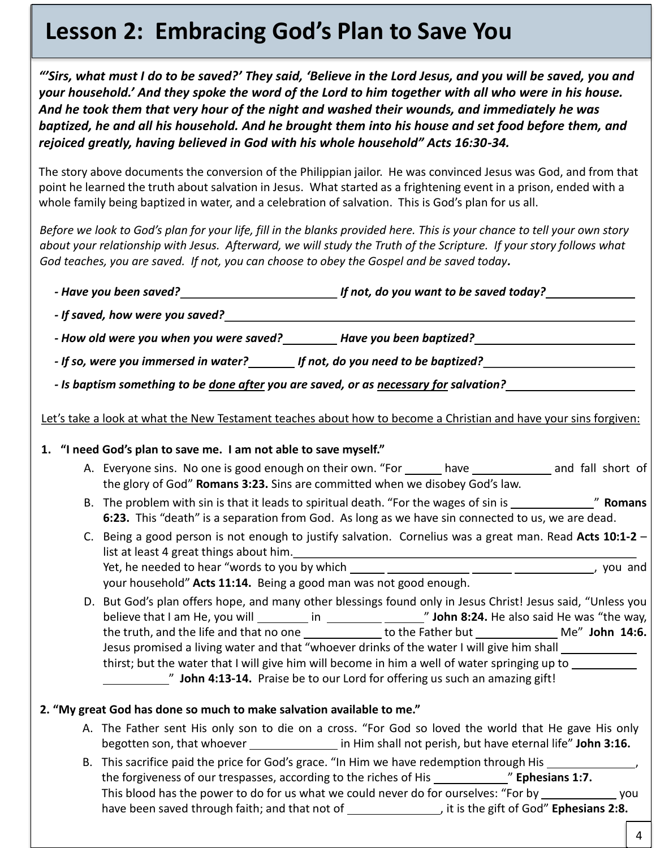# **Lesson 2: Embracing God's Plan to Save You**

*"'Sirs, what must I do to be saved?' They said, 'Believe in the Lord Jesus, and you will be saved, you and your household.' And they spoke the word of the Lord to him together with all who were in his house. And he took them that very hour of the night and washed their wounds, and immediately he was baptized, he and all his household. And he brought them into his house and set food before them, and rejoiced greatly, having believed in God with his whole household" Acts 16:30-34.* 

The story above documents the conversion of the Philippian jailor. He was convinced Jesus was God, and from that point he learned the truth about salvation in Jesus. What started as a frightening event in a prison, ended with a whole family being baptized in water, and a celebration of salvation. This is God's plan for us all.

*Before we look to God's plan for your life, fill in the blanks provided here. This is your chance to tell your own story about your relationship with Jesus. Afterward, we will study the Truth of the Scripture. If your story follows what God teaches, you are saved. If not, you can choose to obey the Gospel and be saved today.* 

| - How old were you when you were saved? __________ Have you been baptized? __________________________________                                                                                                                                                                                                                                                                                                                                                                                                                                                                                                                            |
|------------------------------------------------------------------------------------------------------------------------------------------------------------------------------------------------------------------------------------------------------------------------------------------------------------------------------------------------------------------------------------------------------------------------------------------------------------------------------------------------------------------------------------------------------------------------------------------------------------------------------------------|
| - If so, were you immersed in water? ________ If not, do you need to be baptized? __________________                                                                                                                                                                                                                                                                                                                                                                                                                                                                                                                                     |
| - Is baptism something to be <u>done after</u> you are saved, or as necessary for salvation?                                                                                                                                                                                                                                                                                                                                                                                                                                                                                                                                             |
| Let's take a look at what the New Testament teaches about how to become a Christian and have your sins forgiven:                                                                                                                                                                                                                                                                                                                                                                                                                                                                                                                         |
| 1. "I need God's plan to save me. I am not able to save myself."                                                                                                                                                                                                                                                                                                                                                                                                                                                                                                                                                                         |
| A. Everyone sins. No one is good enough on their own. "For ______ have ____________ and fall short of<br>the glory of God" Romans 3:23. Sins are committed when we disobey God's law.                                                                                                                                                                                                                                                                                                                                                                                                                                                    |
| 6:23. This "death" is a separation from God. As long as we have sin connected to us, we are dead.                                                                                                                                                                                                                                                                                                                                                                                                                                                                                                                                        |
| C. Being a good person is not enough to justify salvation. Cornelius was a great man. Read Acts 10:1-2 -<br>list at least 4 great things about him.<br>and the contract of the contract of the contract of the contract of the contract of the contract of the contract of the contract of the contract of the contract of the contract of t<br>your household" Acts 11:14. Being a good man was not good enough.                                                                                                                                                                                                                        |
| D. But God's plan offers hope, and many other blessings found only in Jesus Christ! Jesus said, "Unless you<br>believe that I am He, you will __________ in __________ ________" John 8:24. He also said He was "the way,<br>the truth, and the life and that no one ______________to the Father but __________________Me" John 14:6.<br>Jesus promised a living water and that "whoever drinks of the water I will give him shall __________<br>thirst; but the water that I will give him will become in him a well of water springing up to __________<br>" John 4:13-14. Praise be to our Lord for offering us such an amazing gift! |
| 2. "My great God has done so much to make salvation available to me."                                                                                                                                                                                                                                                                                                                                                                                                                                                                                                                                                                    |
| A. The Father sent His only son to die on a cross. "For God so loved the world that He gave His only<br>begotten son, that whoever ____________________ in Him shall not perish, but have eternal life" John 3:16.                                                                                                                                                                                                                                                                                                                                                                                                                       |
| B. This sacrifice paid the price for God's grace. "In Him we have redemption through His _________________<br>This blood has the power to do for us what we could never do for ourselves: "For by _______________ you<br>have been saved through faith; and that not of the same set of state gift of God" Ephesians 2:8.                                                                                                                                                                                                                                                                                                                |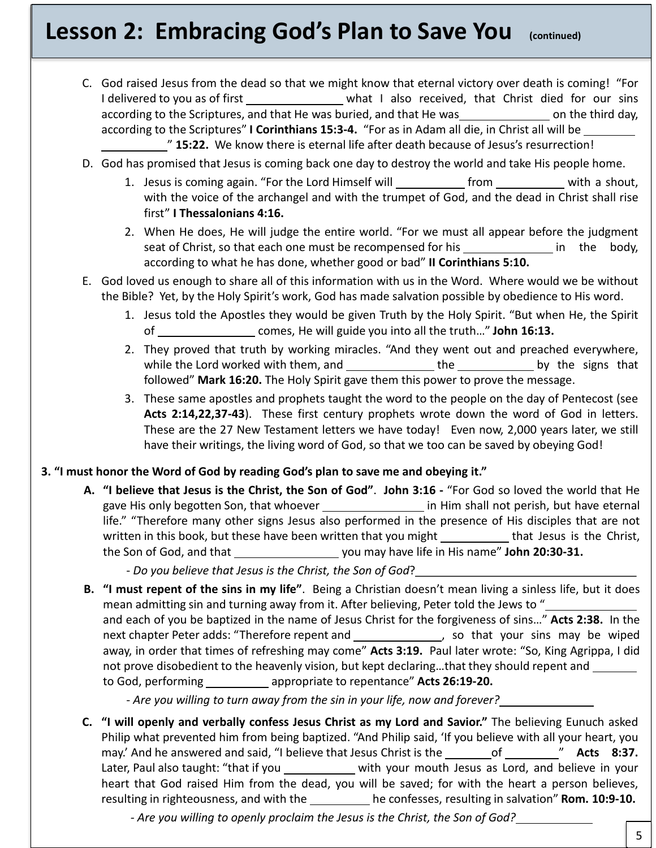# **Lesson 2: Embracing God's Plan to Save You (continued)**

- C. God raised Jesus from the dead so that we might know that eternal victory over death is coming! "For I delivered to you as of first \_\_\_\_\_\_\_\_\_\_\_\_\_\_\_\_\_ what I also received, that Christ died for our sins according to the Scriptures, and that He was buried, and that He was on the third day, according to the Scriptures" **I Corinthians 15:3-4.** "For as in Adam all die, in Christ all will be " **15:22.** We know there is eternal life after death because of Jesus's resurrection!
- D. God has promised that Jesus is coming back one day to destroy the world and take His people home.
	- 1. Jesus is coming again. "For the Lord Himself will **from** [100] from with a shout, with the voice of the archangel and with the trumpet of God, and the dead in Christ shall rise first" **I Thessalonians 4:16.**
	- 2. When He does, He will judge the entire world. "For we must all appear before the judgment seat of Christ, so that each one must be recompensed for his in the body, according to what he has done, whether good or bad" **II Corinthians 5:10.**
- E. God loved us enough to share all of this information with us in the Word. Where would we be without the Bible? Yet, by the Holy Spirit's work, God has made salvation possible by obedience to His word.
	- 1. Jesus told the Apostles they would be given Truth by the Holy Spirit. "But when He, the Spirit of comes, He will guide you into all the truth…" **John 16:13.**
	- 2. They proved that truth by working miracles. "And they went out and preached everywhere, while the Lord worked with them, and  $\rule{1em}{0.15mm}$  the sum by the signs that followed" **Mark 16:20.** The Holy Spirit gave them this power to prove the message.
	- P These are the 27 New Testament letters we have today! Even now, 2,000 years later, we still 3. These same apostles and prophets taught the word to the people on the day of Pentecost (see **Acts 2:14,22,37-43**). These first century prophets wrote down the word of God in letters. have their writings, the living word of God, so that we too can be saved by obeying God!

# **3. "I must honor the Word of God by reading God's plan to save me and obeying it."**

**A. "I believe that Jesus is the Christ, the Son of God"**. **John 3:16 -** "For God so loved the world that He gave His only begotten Son, that whoever in Him shall not perish, but have eternal life." "Therefore many other signs Jesus also performed in the presence of His disciples that are not written in this book, but these have been written that you might \_\_\_\_\_\_\_\_\_\_\_\_that Jesus is the Christ, the Son of God, and that you may have life in His name" **John 20:30-31.**

- *Do you believe that Jesus is the Christ, the Son of God*?

**B. "I must repent of the sins in my life"**. Being a Christian doesn't mean living a sinless life, but it does mean admitting sin and turning away from it. After believing, Peter told the Jews to " and each of you be baptized in the name of Jesus Christ for the forgiveness of sins…" **Acts 2:38.** In the next chapter Peter adds: "Therefore repent and \_\_\_\_\_\_\_\_\_\_\_\_\_\_\_\_, so that your sins may be wiped away, in order that times of refreshing may come" **Acts 3:19.** Paul later wrote: "So, King Agrippa, I did not prove disobedient to the heavenly vision, but kept declaring…that they should repent and to God, performing appropriate to repentance" **Acts 26:19-20.**

- *Are you willing to turn away from the sin in your life, now and forever?*

**C. "I will openly and verbally confess Jesus Christ as my Lord and Savior."** The believing Eunuch asked Philip what prevented him from being baptized. "And Philip said, 'If you believe with all your heart, you may.' And he answered and said, "I believe that Jesus Christ is the of " Acts 8:37. Later, Paul also taught: "that if you \_\_\_\_\_\_\_\_\_\_\_ with your mouth Jesus as Lord, and believe in your heart that God raised Him from the dead, you will be saved; for with the heart a person believes, resulting in righteousness, and with the he confesses, resulting in salvation" **Rom. 10:9-10.** 

*- Are you willing to openly proclaim the Jesus is the Christ, the Son of God?*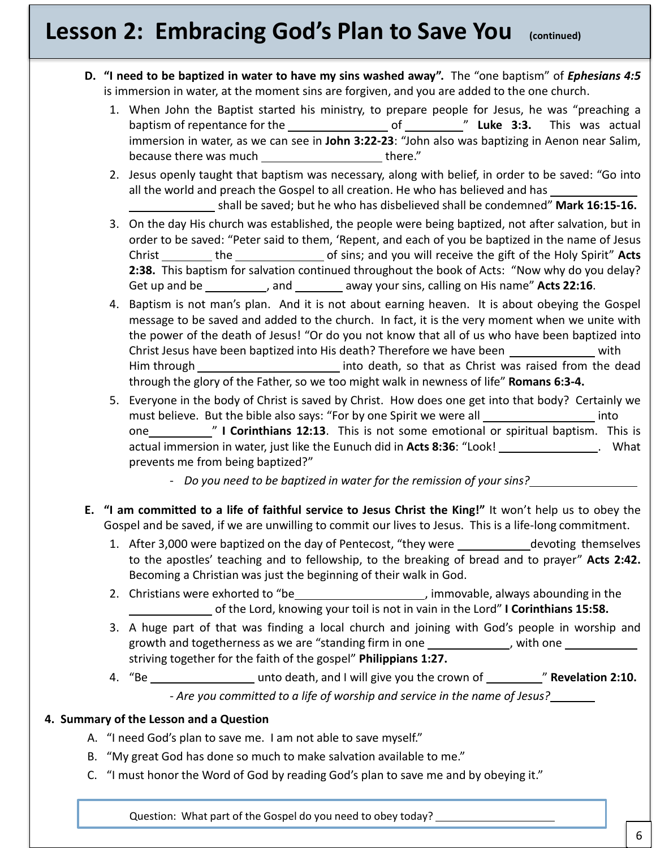# **Lesson 2: Embracing God's Plan to Save You (continued)**

- **D. "I need to be baptized in water to have my sins washed away".** The "one baptism" of *Ephesians 4:5* is immersion in water, at the moment sins are forgiven, and you are added to the one church.
	- 1. When John the Baptist started his ministry, to prepare people for Jesus, he was "preaching a baptism of repentance for the **\_\_\_\_\_\_\_\_\_\_\_\_\_\_\_\_**\_\_ of \_\_\_\_\_\_\_\_\_\_\_" Luke 3:3. This was actual immersion in water, as we can see in **John 3:22-23**: "John also was baptizing in Aenon near Salim, because there was much there."
	- 2. Jesus openly taught that baptism was necessary, along with belief, in order to be saved: "Go into all the world and preach the Gospel to all creation. He who has believed and has shall be saved; but he who has disbelieved shall be condemned" **Mark 16:15-16.**
	- 3. On the day His church was established, the people were being baptized, not after salvation, but in order to be saved: "Peter said to them, 'Repent, and each of you be baptized in the name of Jesus Christ the of sins; and you will receive the gift of the Holy Spirit" **Acts 2:38.** This baptism for salvation continued throughout the book of Acts: "Now why do you delay? Get up and be \_\_\_\_\_\_\_\_\_\_\_, and \_\_\_\_\_\_\_\_\_ away your sins, calling on His name" Acts 22:16.
	- 4. Baptism is not man's plan. And it is not about earning heaven. It is about obeying the Gospel message to be saved and added to the church. In fact, it is the very moment when we unite with the power of the death of Jesus! "Or do you not know that all of us who have been baptized into Christ Jesus have been baptized into His death? Therefore we have been with with Him through into death, so that as Christ was raised from the dead through the glory of the Father, so we too might walk in newness of life" **Romans 6:3-4.**
	- P one " **I Corinthians 12:13**. This is not some emotional or spiritual baptism. This is 5. Everyone in the body of Christ is saved by Christ. How does one get into that body? Certainly we must believe. But the bible also says: "For by one Spirit we were all **into** into actual immersion in water, just like the Eunuch did in Acts 8:36: "Look! \_\_\_\_\_\_\_\_\_\_\_\_\_\_\_. What prevents me from being baptized?"
		- *Do you need to be baptized in water for the remission of your sins?*
- **E. "I am committed to a life of faithful service to Jesus Christ the King!"** It won't help us to obey the Gospel and be saved, if we are unwilling to commit our lives to Jesus. This is a life-long commitment.
	- 1. After 3,000 were baptized on the day of Pentecost, "they were devoting themselves to the apostles' teaching and to fellowship, to the breaking of bread and to prayer" **Acts 2:42.** Becoming a Christian was just the beginning of their walk in God.
	- 2. Christians were exhorted to "be \\epsill \\epsill \\epsill \\epsill \\epsill \\epsill \\epsill \\epsill \\epsill \\epsill \\epsill \\epsill \\epsill \\epsill \\epsill \\epsill \\epsill \\epsill \\epsill \\epsill \\epsil of the Lord, knowing your toil is not in vain in the Lord" **I Corinthians 15:58.**
	- 3. A huge part of that was finding a local church and joining with God's people in worship and growth and togetherness as we are "standing firm in one \_\_\_\_\_\_\_\_\_\_\_\_, with one \_\_\_\_\_\_\_ striving together for the faith of the gospel" **Philippians 1:27.**
	- 4. "Be unto death, and I will give you the crown of " **Revelation 2:10.** *- Are you committed to a life of worship and service in the name of Jesus?*

# **4. Summary of the Lesson and a Question**

- A. "I need God's plan to save me. I am not able to save myself."
- B. "My great God has done so much to make salvation available to me."
- C. "I must honor the Word of God by reading God's plan to save me and by obeying it."

Question: What part of the Gospel do you need to obey today?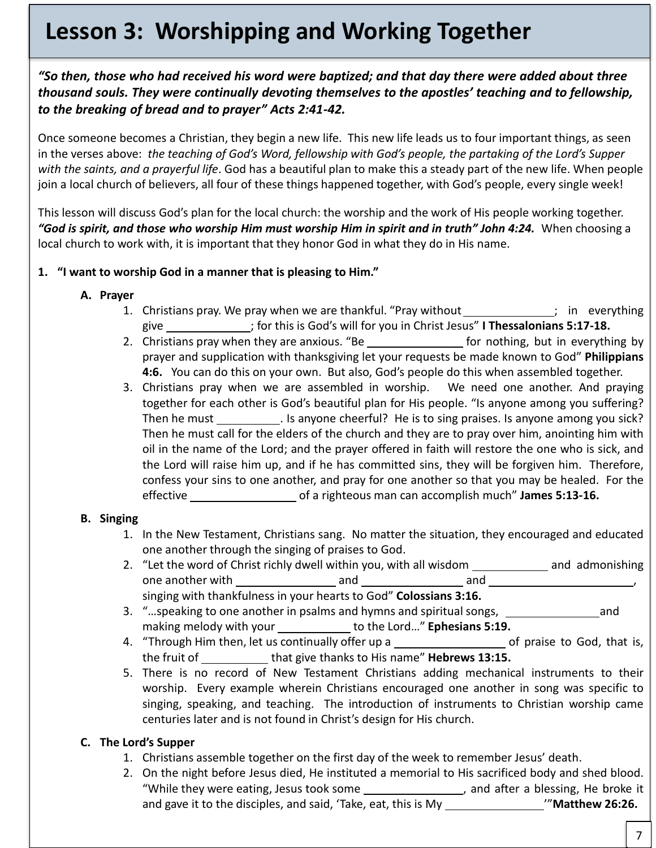# **Lesson 3: Worshipping and Working Together**

# *"So then, those who had received his word were baptized; and that day there were added about three thousand souls. They were continually devoting themselves to the apostles' teaching and to fellowship, to the breaking of bread and to prayer" Acts 2:41-42.*

Once someone becomes a Christian, they begin a new life. This new life leads us to four important things, as seen in the verses above: *the teaching of God's Word, fellowship with God's people, the partaking of the Lord's Supper with the saints, and a prayerful life*. God has a beautiful plan to make this a steady part of the new life. When people join a local church of believers, all four of these things happened together, with God's people, every single week!

This lesson will discuss God's plan for the local church: the worship and the work of His people working together. *"God is spirit, and those who worship Him must worship Him in spirit and in truth" John 4:24.* When choosing a local church to work with, it is important that they honor God in what they do in His name.

# **1. "I want to worship God in a manner that is pleasing to Him."**

- **A. Prayer** 
	- 1. Christians pray. We pray when we are thankful. "Pray without \_\_\_\_\_\_\_\_\_\_\_\_\_\_; in everything give ; for this is God's will for you in Christ Jesus" **I Thessalonians 5:17-18.**
	- 2. Christians pray when they are anxious. "Be  $f(x)$  for nothing, but in everything by prayer and supplication with thanksgiving let your requests be made known to God" **Philippians 4:6.** You can do this on your own. But also, God's people do this when assembled together.
	- Then he must **entity and the elders** of the cheeriur. The is to sing praises, is anyone among you sick?<br>Then he must call for the elders of the church and they are to pray over him, anointing him with 3. Christians pray when we are assembled in worship. We need one another. And praying together for each other is God's beautiful plan for His people. "Is anyone among you suffering? Then he must \_\_\_\_\_\_\_\_\_\_\_\_. Is anyone cheerful? He is to sing praises. Is anyone among you sick? oil in the name of the Lord; and the prayer offered in faith will restore the one who is sick, and the Lord will raise him up, and if he has committed sins, they will be forgiven him. Therefore, confess your sins to one another, and pray for one another so that you may be healed. For the effective **constructs** of a righteous man can accomplish much" **James 5:13-16.**

# **B. Singing**

- 1. In the New Testament, Christians sang. No matter the situation, they encouraged and educated one another through the singing of praises to God.
- 2. "Let the word of Christ richly dwell within you, with all wisdom \_\_\_\_\_\_\_\_\_\_\_\_\_ and admonishing one another with and and , singing with thankfulness in your hearts to God" **Colossians 3:16.**
- 3. "…speaking to one another in psalms and hymns and spiritual songs, sace the same cand making melody with your to the Lord…" **Ephesians 5:19.**
- 4. "Through Him then, let us continually offer up a series of praise to God, that is, the fruit of that give thanks to His name" **Hebrews 13:15.**
- 5. There is no record of New Testament Christians adding mechanical instruments to their worship. Every example wherein Christians encouraged one another in song was specific to singing, speaking, and teaching. The introduction of instruments to Christian worship came centuries later and is not found in Christ's design for His church.

# **C. The Lord's Supper**

- 1. Christians assemble together on the first day of the week to remember Jesus' death.
- 2. On the night before Jesus died, He instituted a memorial to His sacrificed body and shed blood. "While they were eating, Jesus took some **, and after a blessing**, He broke it and gave it to the disciples, and said, 'Take, eat, this is My **\big \biggerend** \\'"**Matthew 26:26.**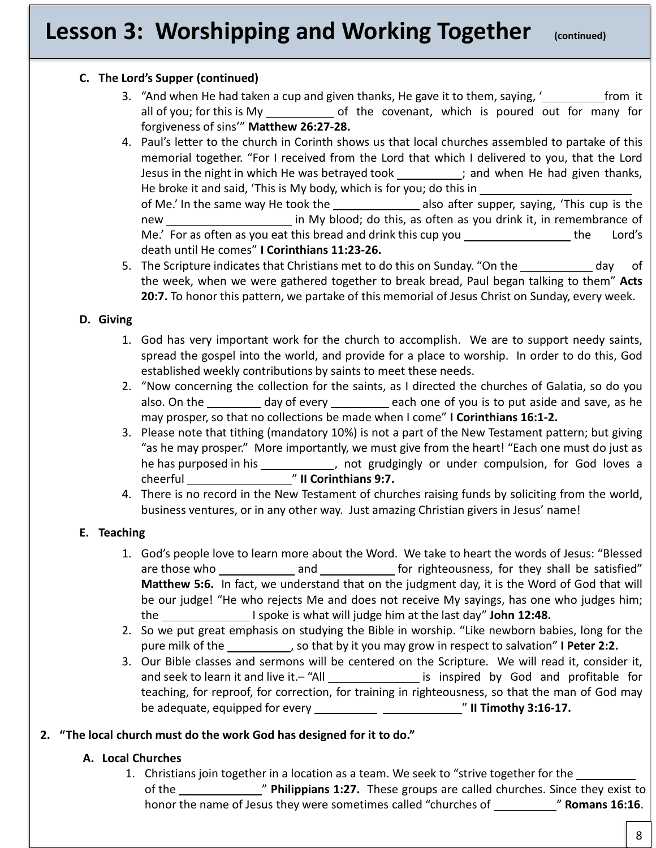# **Lesson 3: Worshipping and Working Together (continued)**

# **C. The Lord's Supper (continued)**

- 3. "And when He had taken a cup and given thanks, He gave it to them, saying,  $\frac{1}{\sqrt{1-\frac{1}{\sqrt{1-\frac{1}{\sqrt{1-\frac{1}{\sqrt{1-\frac{1}{\sqrt{1-\frac{1}{\sqrt{1-\frac{1}{\sqrt{1-\frac{1}{\sqrt{1-\frac{1}{\sqrt{1-\frac{1}{\sqrt{1-\frac{1}{\sqrt{1-\frac{1}{\sqrt{1-\frac{1}{\sqrt{1-\frac{1}{\sqrt{1-\frac{1}{\sqrt{1-\frac{1}{\sqrt$ all of you; for this is My of the covenant, which is poured out for many for forgiveness of sins'" **Matthew 26:27-28.**
- 4. Paul's letter to the church in Corinth shows us that local churches assembled to partake of this memorial together. "For I received from the Lord that which I delivered to you, that the Lord Jesus in the night in which He was betrayed took  $\frac{1}{\sqrt{1-\frac{1}{n}}}$  and when He had given thanks, He broke it and said, 'This is My body, which is for you; do this in of Me.' In the same way He took the summary also after supper, saying, 'This cup is the new in My blood; do this, as often as you drink it, in remembrance of Me.' For as often as you eat this bread and drink this cup you \_\_\_\_\_\_\_\_\_\_\_\_\_\_\_\_\_\_ the Lord's death until He comes" **I Corinthians 11:23-26.**
- 5. The Scripture indicates that Christians met to do this on Sunday. "On the day day of the week, when we were gathered together to break bread, Paul began talking to them" **Acts 20:7.** To honor this pattern, we partake of this memorial of Jesus Christ on Sunday, every week.

# **D. Giving**

- 1. God has very important work for the church to accomplish. We are to support needy saints, spread the gospel into the world, and provide for a place to worship. In order to do this, God established weekly contributions by saints to meet these needs.
- 2. "Now concerning the collection for the saints, as I directed the churches of Galatia, so do you also. On the day of every each one of you is to put aside and save, as he may prosper, so that no collections be made when I come" **I Corinthians 16:1-2.**
- Inay prosper, so that no collections be made when ricome **Treomitinalis 10.1-2.**<br>3. Please note that tithing (mandatory 10%) is not a part of the New Testament pattern; but giving "as he may prosper." More importantly, we must give from the heart! "Each one must do just as he has purposed in his heads are not grudgingly or under compulsion, for God loves a cheerful " **II Corinthians 9:7.**
- 4. There is no record in the New Testament of churches raising funds by soliciting from the world, business ventures, or in any other way. Just amazing Christian givers in Jesus' name!

# **E. Teaching**

- 1. God's people love to learn more about the Word. We take to heart the words of Jesus: "Blessed are those who set and set and set and set of righteousness, for they shall be satisfied" **Matthew 5:6.** In fact, we understand that on the judgment day, it is the Word of God that will be our judge! "He who rejects Me and does not receive My sayings, has one who judges him; the  $\qquad \qquad$  I spoke is what will judge him at the last day" John 12:48.
- 2. So we put great emphasis on studying the Bible in worship. "Like newborn babies, long for the pure milk of the  $\qquad \qquad \qquad$ , so that by it you may grow in respect to salvation" **I Peter 2:2.**
- 3. Our Bible classes and sermons will be centered on the Scripture. We will read it, consider it, and seek to learn it and live it. - "All is inspired by God and profitable for teaching, for reproof, for correction, for training in righteousness, so that the man of God may be adequate, equipped for every " **II Timothy 3:16-17.**

# **2. "The local church must do the work God has designed for it to do."**

# **A. Local Churches**

1. Christians join together in a location as a team. We seek to "strive together for the of the " **Philippians 1:27.** These groups are called churches. Since they exist to honor the name of Jesus they were sometimes called "churches of \_\_\_\_\_\_\_\_\_\_\_\_\_\_" **Romans 16:16**.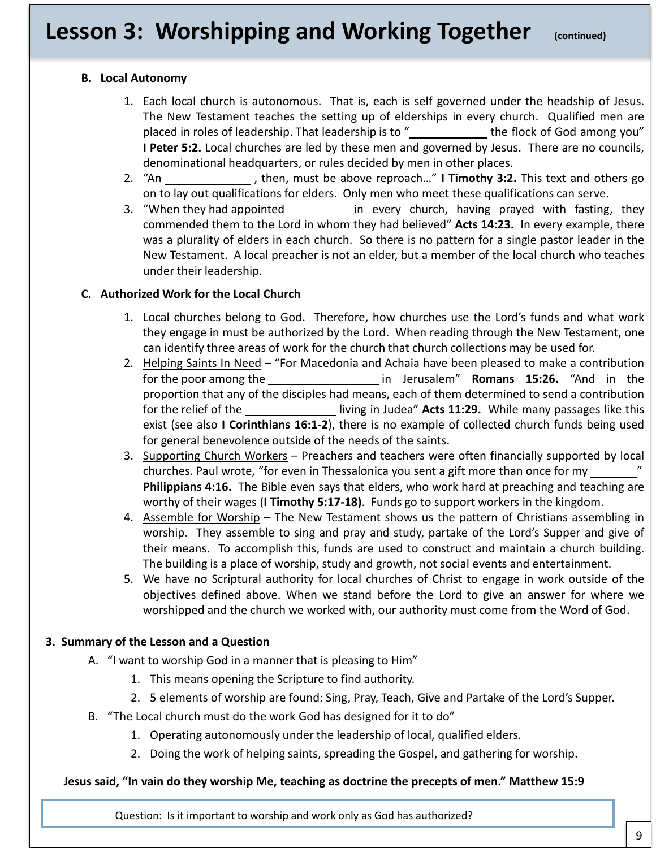# **Lesson 3: Worshipping and Working Together (continued)**

# **B. Local Autonomy**

- 1. Each local church is autonomous. That is, each is self governed under the headship of Jesus. The New Testament teaches the setting up of elderships in every church. Qualified men are placed in roles of leadership. That leadership is to " the flock of God among you" **I Peter 5:2.** Local churches are led by these men and governed by Jesus. There are no councils, denominational headquarters, or rules decided by men in other places.
- 2. "An , then, must be above reproach…" **I Timothy 3:2.** This text and others go on to lay out qualifications for elders. Only men who meet these qualifications can serve.
- 3. "When they had appointed \_\_\_\_\_\_\_\_\_\_\_\_ in every church, having prayed with fasting, they commended them to the Lord in whom they had believed" **Acts 14:23.** In every example, there was a plurality of elders in each church. So there is no pattern for a single pastor leader in the New Testament. A local preacher is not an elder, but a member of the local church who teaches under their leadership.

# **C. Authorized Work for the Local Church**

- 1. Local churches belong to God. Therefore, how churches use the Lord's funds and what work they engage in must be authorized by the Lord. When reading through the New Testament, one can identify three areas of work for the church that church collections may be used for.
- exist (see also **I Corinthians 16:1-2**), there is no example of collected church funds being used 2. Helping Saints In Need – "For Macedonia and Achaia have been pleased to make a contribution for the poor among the in Jerusalem" **Romans 15:26.** "And in the proportion that any of the disciples had means, each of them determined to send a contribution for the relief of the **licit contains the living in Judea" Acts 11:29.** While many passages like this for general benevolence outside of the needs of the saints.
- 3. Supporting Church Workers Preachers and teachers were often financially supported by local churches. Paul wrote, "for even in Thessalonica you sent a gift more than once for my " **Philippians 4:16.** The Bible even says that elders, who work hard at preaching and teaching are worthy of their wages (**I Timothy 5:17-18)**. Funds go to support workers in the kingdom.
- 4. Assemble for Worship The New Testament shows us the pattern of Christians assembling in worship. They assemble to sing and pray and study, partake of the Lord's Supper and give of their means. To accomplish this, funds are used to construct and maintain a church building. The building is a place of worship, study and growth, not social events and entertainment.
- 5. We have no Scriptural authority for local churches of Christ to engage in work outside of the objectives defined above. When we stand before the Lord to give an answer for where we worshipped and the church we worked with, our authority must come from the Word of God.

# **3. Summary of the Lesson and a Question**

- A. "I want to worship God in a manner that is pleasing to Him"
	- 1. This means opening the Scripture to find authority.
	- 2. 5 elements of worship are found: Sing, Pray, Teach, Give and Partake of the Lord's Supper.
- B. "The Local church must do the work God has designed for it to do"
	- 1. Operating autonomously under the leadership of local, qualified elders.
	- 2. Doing the work of helping saints, spreading the Gospel, and gathering for worship.

# **Jesus said, "In vain do they worship Me, teaching as doctrine the precepts of men." Matthew 15:9**

Question: Is it important to worship and work only as God has authorized?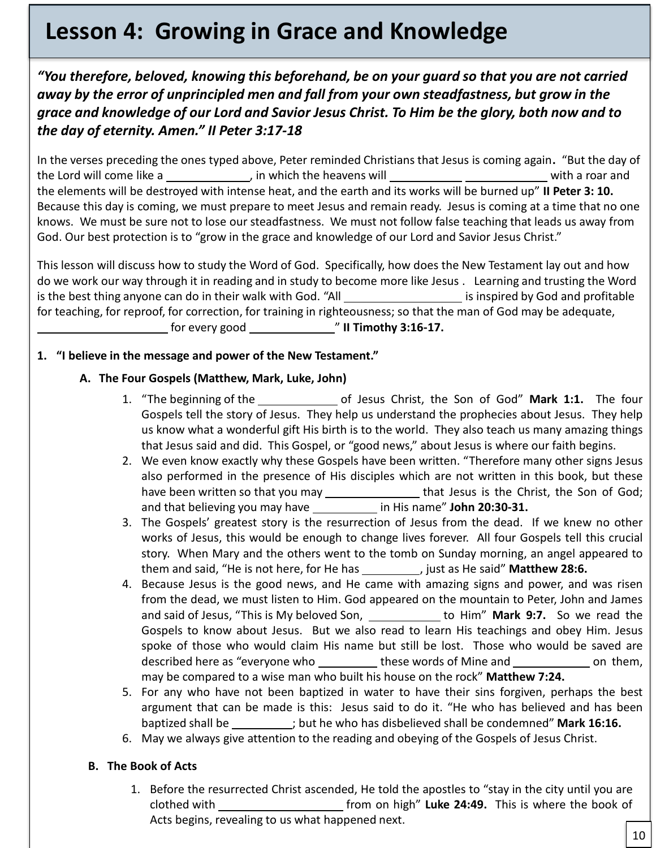# **Lesson 4: Growing in Grace and Knowledge**

*"You therefore, beloved, knowing this beforehand, be on your guard so that you are not carried away by the error of unprincipled men and fall from your own steadfastness, but grow in the grace and knowledge of our Lord and Savior Jesus Christ. To Him be the glory, both now and to the day of eternity. Amen." II Peter 3:17-18*

In the verses preceding the ones typed above, Peter reminded Christians that Jesus is coming again**.** "But the day of the Lord will come like a subset of the which the heavens will with a roar and with a roar and the elements will be destroyed with intense heat, and the earth and its works will be burned up" **II Peter 3: 10.** Because this day is coming, we must prepare to meet Jesus and remain ready. Jesus is coming at a time that no one knows. We must be sure not to lose our steadfastness. We must not follow false teaching that leads us away from God. Our best protection is to "grow in the grace and knowledge of our Lord and Savior Jesus Christ."

This lesson will discuss how to study the Word of God. Specifically, how does the New Testament lay out and how do we work our way through it in reading and in study to become more like Jesus . Learning and trusting the Word is the best thing anyone can do in their walk with God. "All is inspired by God and profitable for teaching, for reproof, for correction, for training in righteousness; so that the man of God may be adequate, **IFF 17. 18.10.17. IFF 17. 18.10.17. IFF 17. IFF 17. IFF 17. IFF 17. IFF 17. IFF 17. IFF 17. IFF 17. IFF 17. IFF 17. I**FF 17.

# **1. "I believe in the message and power of the New Testament."**

# **A. The Four Gospels (Matthew, Mark, Luke, John)**

- P us know what a wonderful gift His birth is to the world. They also teach us many amazing things 1. "The beginning of the same of Jesus Christ, the Son of God" Mark 1:1. The four Gospels tell the story of Jesus. They help us understand the prophecies about Jesus. They help that Jesus said and did. This Gospel, or "good news," about Jesus is where our faith begins.
- 2. We even know exactly why these Gospels have been written. "Therefore many other signs Jesus also performed in the presence of His disciples which are not written in this book, but these have been written so that you may \_\_\_\_\_\_\_\_\_\_\_\_\_\_\_\_\_that Jesus is the Christ, the Son of God; and that believing you may have in His name" **John 20:30-31.**
- 3. The Gospels' greatest story is the resurrection of Jesus from the dead. If we knew no other works of Jesus, this would be enough to change lives forever. All four Gospels tell this crucial story. When Mary and the others went to the tomb on Sunday morning, an angel appeared to them and said, "He is not here, for He has **inclusion Matthew 28:6.** just as He said" Matthew 28:6.
- 4. Because Jesus is the good news, and He came with amazing signs and power, and was risen from the dead, we must listen to Him. God appeared on the mountain to Peter, John and James and said of Jesus, "This is My beloved Son, \_\_\_\_\_\_\_\_\_\_\_\_\_ to Him" Mark 9:7. So we read the Gospels to know about Jesus. But we also read to learn His teachings and obey Him. Jesus spoke of those who would claim His name but still be lost. Those who would be saved are described here as "everyone who same these words of Mine and same on them, may be compared to a wise man who built his house on the rock" **Matthew 7:24.**
- 5. For any who have not been baptized in water to have their sins forgiven, perhaps the best argument that can be made is this: Jesus said to do it. "He who has believed and has been baptized shall be ; but he who has disbelieved shall be condemned" **Mark 16:16.**
- 6. May we always give attention to the reading and obeying of the Gospels of Jesus Christ.

# **B. The Book of Acts**

1. Before the resurrected Christ ascended, He told the apostles to "stay in the city until you are clothed with from on high" **Luke 24:49.** This is where the book of Acts begins, revealing to us what happened next.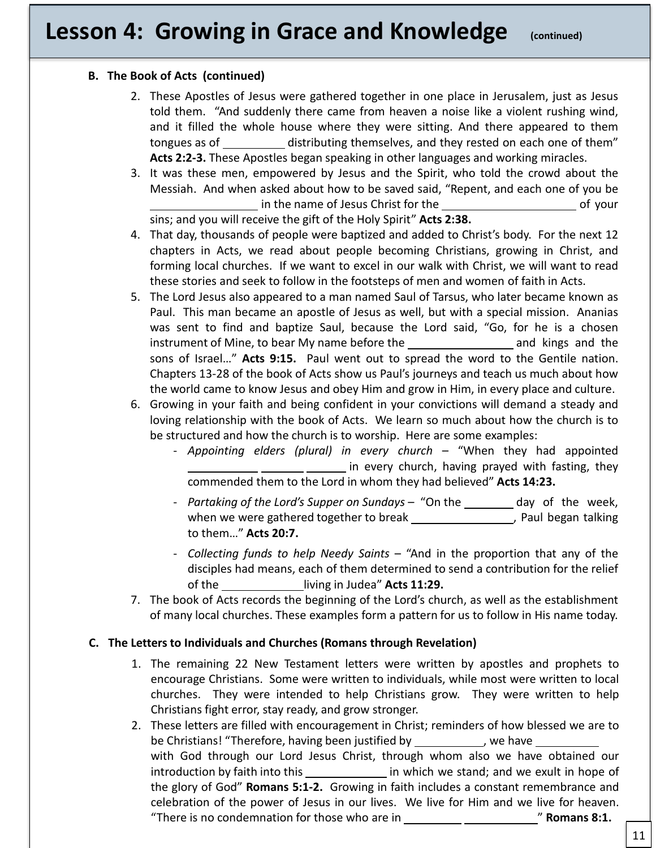# **Lesson 4: Growing in Grace and Knowledge (continued)**

#### **B. The Book of Acts (continued)**

- 2. These Apostles of Jesus were gathered together in one place in Jerusalem, just as Jesus told them. "And suddenly there came from heaven a noise like a violent rushing wind, and it filled the whole house where they were sitting. And there appeared to them tongues as of distributing themselves, and they rested on each one of them" **Acts 2:2-3.** These Apostles began speaking in other languages and working miracles.
- 3. It was these men, empowered by Jesus and the Spirit, who told the crowd about the Messiah. And when asked about how to be saved said, "Repent, and each one of you be in the name of Jesus Christ for the of your

sins; and you will receive the gift of the Holy Spirit" **Acts 2:38.**

- 4. That day, thousands of people were baptized and added to Christ's body. For the next 12 chapters in Acts, we read about people becoming Christians, growing in Christ, and forming local churches. If we want to excel in our walk with Christ, we will want to read these stories and seek to follow in the footsteps of men and women of faith in Acts.
- 5. The Lord Jesus also appeared to a man named Saul of Tarsus, who later became known as Paul. This man became an apostle of Jesus as well, but with a special mission. Ananias was sent to find and baptize Saul, because the Lord said, "Go, for he is a chosen instrument of Mine, to bear My name before the and and kings and the sons of Israel…" **Acts 9:15.** Paul went out to spread the word to the Gentile nation. Chapters 13-28 of the book of Acts show us Paul's journeys and teach us much about how the world came to know Jesus and obey Him and grow in Him, in every place and culture.
- loving relationship with the book of Acts. We learn so much about how i<br>be structured and how the church is to worship. Here are some examples: 6. Growing in your faith and being confident in your convictions will demand a steady and loving relationship with the book of Acts. We learn so much about how the church is to
	- *Appointing elders (plural) in every church* "When they had appointed <u>in every church</u>, having prayed with fasting, they commended them to the Lord in whom they had believed" **Acts 14:23.**
	- *Partaking of the Lord's Supper on Sundays* "On the <u>same day of the week</u>, when we were gathered together to break \_\_\_\_\_\_\_\_\_\_\_\_\_\_\_\_\_\_, Paul began talking to them…" **Acts 20:7.**
	- *Collecting funds to help Needy Saints* "And in the proportion that any of the disciples had means, each of them determined to send a contribution for the relief of the living in Judea" **Acts 11:29.**
- 7. The book of Acts records the beginning of the Lord's church, as well as the establishment of many local churches. These examples form a pattern for us to follow in His name today.

#### **C. The Letters to Individuals and Churches (Romans through Revelation)**

- 1. The remaining 22 New Testament letters were written by apostles and prophets to encourage Christians. Some were written to individuals, while most were written to local churches. They were intended to help Christians grow. They were written to help Christians fight error, stay ready, and grow stronger.
- 2. These letters are filled with encouragement in Christ; reminders of how blessed we are to be Christians! "Therefore, having been justified by \_\_\_\_\_\_\_\_\_\_\_, we have \_ with God through our Lord Jesus Christ, through whom also we have obtained our introduction by faith into this **in the stand** in which we stand; and we exult in hope of the glory of God" **Romans 5:1-2.** Growing in faith includes a constant remembrance and celebration of the power of Jesus in our lives. We live for Him and we live for heaven. "There is no condemnation for those who are in **Table 10 and Table 2011 Romans 8:1.**

11